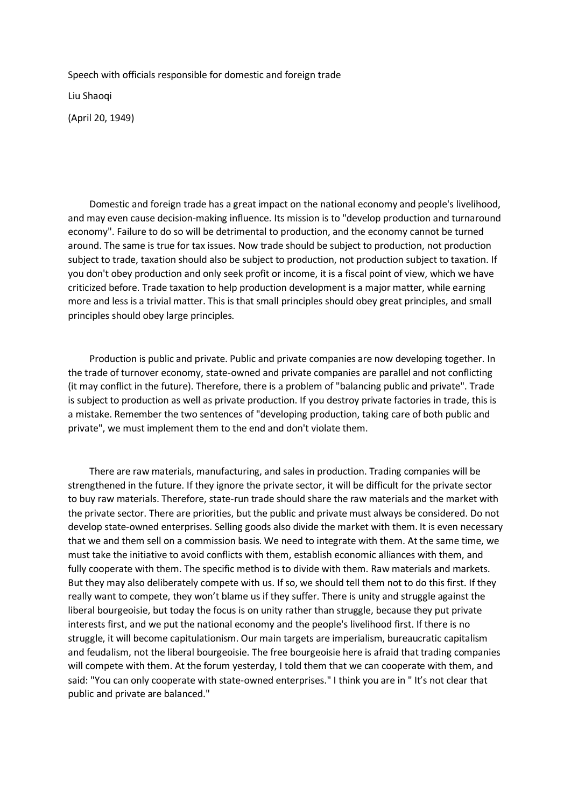Speech with officials responsible for domestic and foreign trade

Liu Shaoqi

(April 20, 1949)

 Domestic and foreign trade has a great impact on the national economy and people's livelihood, and may even cause decision-making influence. Its mission is to "develop production and turnaround economy". Failure to do so will be detrimental to production, and the economy cannot be turned around. The same is true for tax issues. Now trade should be subject to production, not production subject to trade, taxation should also be subject to production, not production subject to taxation. If you don't obey production and only seek profit or income, it is a fiscal point of view, which we have criticized before. Trade taxation to help production development is a major matter, while earning more and less is a trivial matter. This is that small principles should obey great principles, and small principles should obey large principles.

 Production is public and private. Public and private companies are now developing together. In the trade of turnover economy, state-owned and private companies are parallel and not conflicting (it may conflict in the future). Therefore, there is a problem of "balancing public and private". Trade is subject to production as well as private production. If you destroy private factories in trade, this is a mistake. Remember the two sentences of "developing production, taking care of both public and private", we must implement them to the end and don't violate them.

 There are raw materials, manufacturing, and sales in production. Trading companies will be strengthened in the future. If they ignore the private sector, it will be difficult for the private sector to buy raw materials. Therefore, state-run trade should share the raw materials and the market with the private sector. There are priorities, but the public and private must always be considered. Do not develop state-owned enterprises. Selling goods also divide the market with them. It is even necessary that we and them sell on a commission basis. We need to integrate with them. At the same time, we must take the initiative to avoid conflicts with them, establish economic alliances with them, and fully cooperate with them. The specific method is to divide with them. Raw materials and markets. But they may also deliberately compete with us. If so, we should tell them not to do this first. If they really want to compete, they won't blame us if they suffer. There is unity and struggle against the liberal bourgeoisie, but today the focus is on unity rather than struggle, because they put private interests first, and we put the national economy and the people's livelihood first. If there is no struggle, it will become capitulationism. Our main targets are imperialism, bureaucratic capitalism and feudalism, not the liberal bourgeoisie. The free bourgeoisie here is afraid that trading companies will compete with them. At the forum yesterday, I told them that we can cooperate with them, and said: "You can only cooperate with state-owned enterprises." I think you are in " It's not clear that public and private are balanced."